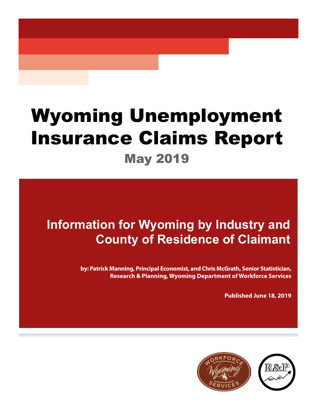# Wyoming Unemployment **Insurance Claims Report**<br>May 2019

## **Information for Wyoming by Industry and County of Residence of Claimant**

**by: Patrick Manning, Principal Economist, and Chris McGrath, Senior Statistician, Research & Planning, Wyoming Department of Workforce Services**

**Published June 18, 2019**

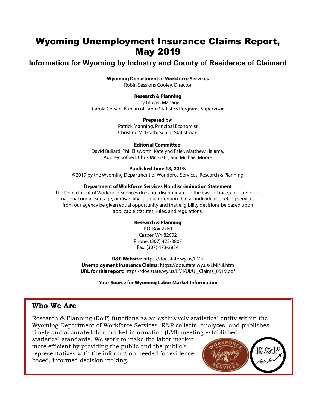### Wyoming Unemployment Insurance Claims Report, May 2019

#### **Information for Wyoming by Industry and County of Residence of Claimant**

#### **Wyoming Department of Workforce Services**

Robin Sessions Cooley, Director

#### **Research & Planning**

Tony Glover, Manager Carola Cowan, Bureau of Labor Statistics Programs Supervisor

#### **Prepared by:**

Patrick Manning, Principal Economist Christine McGrath, Senior Statistician

#### **Editorial Committee:**

David Bullard, Phil Ellsworth, Katelynd Faler, Matthew Halama, Aubrey Kofoed, Chris McGrath, and Michael Moore

#### **Published June 18, 2019.**

©2019 by the Wyoming Department of Workforce Services, Research & Planning

#### **Department of Workforce Services Nondiscrimination Statement**

The Department of Workforce Services does not discriminate on the basis of race, color, religion, national origin, sex, age, or disability. It is our intention that all individuals seeking services from our agency be given equal opportunity and that eligibility decisions be based upon applicable statutes, rules, and regulations.

#### **Research & Planning**

P.O. Box 2760 Casper, WY 82602 Phone: (307) 473-3807 Fax: (307) 473-3834

**R&P Website:** https://doe.state.wy.us/LMI/ **Unemployment Insurance Claims:** https://doe.state.wy.us/LMI/ui.htm **URL for this report:** https://doe.state.wy.us/LMI/UI/UI\_Claims\_0519.pdf

**"Your Source for Wyoming Labor Market Information"**

#### **Who We Are**

Research & Planning (R&P) functions as an exclusively statistical entity within the Wyoming Department of Workforce Services. R&P collects, analyzes, and publishes timely and accurate labor market information (LMI) meeting established

statistical standards. We work to make the labor market more efficient by providing the public and the public's representatives with the information needed for evidencebased, informed decision making.

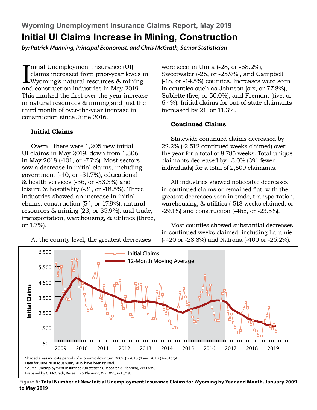**Wyoming Unemployment Insurance Claims Report, May 2019 Initial UI Claims Increase in Mining, Construction**

*by: Patrick Manning, Principal Economist, and Chris McGrath, Senior Statistician*

Initial Unemployment Insurance (UI)<br>claims increased from prior-year levels<br>Wyoming's natural resources & mining<br>and construction industries in May 2019. nitial Unemployment Insurance (UI) claims increased from prior-year levels in Wyoming's natural resources & mining This marked the first over-the-year increase in natural resources & mining and just the third month of over-the-year increase in construction since June 2016.

#### **Initial Claims**

Overall there were 1,205 new initial UI claims in May 2019, down from 1,306 in May 2018 (-101, or -7.7%). Most sectors saw a decrease in initial claims, including government (-40, or -31.7%), educational & health services (-36, or -33.3%) and leisure & hospitality (-31, or -18.5%). Three industries showed an increase in initial claims: construction (54, or 17.9%), natural resources & mining (23, or 35.9%), and trade, transportation, warehousing, & utilities (three, or 1.7%).

At the county level, the greatest decreases

were seen in Uinta  $(-28, \text{ or } -58.2\%)$ , Sweetwater (-25, or -25.9%), and Campbell (-18, or -14.5%) counties. Increases were seen in counties such as Johnson (six, or 77.8%), Sublette (five, or 50.0%), and Fremont (five, or 6.4%). Initial claims for out-of-state claimants increased by 21, or 11.3%.

#### **Continued Claims**

Statewide continued claims decreased by 22.2% (-2,512 continued weeks claimed) over the year for a total of 8,785 weeks. Total unique claimants decreased by 13.0% (391 fewer individuals) for a total of 2,609 claimants.

All industries showed noticeable decreases in continued claims or remained flat, with the greatest decreases seen in trade, transportation, warehousing, & utilities (-513 weeks claimed, or -29.1%) and construction (-465, or -23.5%).

Most counties showed substantial decreases in continued weeks claimed, including Laramie (-420 or -28.8%) and Natrona (-400 or -25.2%).



**Figure A: Total Number of New Initial Unemployment Insurance Claims for Wyoming by Year and Month, January 2009 to May 2019**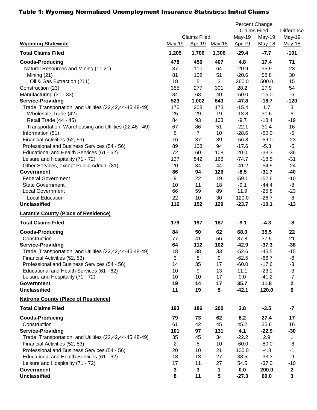#### Table 1: Wyoming Normalized Unemployment Insurance Statistics: Initial Claims

|                                                          |          | <b>Claims Filed</b> |               | Percent Change<br><b>Claims Filed</b><br>May-19<br>May-19 |               | <b>Difference</b><br>May-19  |
|----------------------------------------------------------|----------|---------------------|---------------|-----------------------------------------------------------|---------------|------------------------------|
| <b>Wyoming Statewide</b>                                 | May-19   | <u>Apr-19</u>       | <u>May-18</u> | Apr-19                                                    | May-18        | May-18                       |
| <b>Total Claims Filed</b>                                | 1,205    | 1,706               | 1,306         | $-29.4$                                                   | $-7.7$        | $-101$                       |
| <b>Goods-Producing</b>                                   | 478      | 456                 | 407           | 4.8                                                       | 17.4          | 71                           |
| Natural Resources and Mining (11,21)                     | 87<br>81 | 110                 | 64            | $-20.9$                                                   | 35.9          | 23                           |
| Mining (21)                                              | 18       | 102<br>5            | 51<br>3       | $-20.6$<br>260.0                                          | 58.8<br>500.0 | 30<br>15                     |
| Oil & Gas Extraction (211)<br>Construction (23)          | 355      | 277                 | 301           | 28.2                                                      | 17.9          | 54                           |
| Manufacturing (31 - 33)                                  | 34       | 68                  | 40            | $-50.0$                                                   | $-15.0$       | $-6$                         |
| <b>Service-Providing</b>                                 | 523      | 1,002               | 643           | $-47.8$                                                   | $-18.7$       | $-120$                       |
| Trade, Transportation, and Utilities (22,42,44-45,48-49) | 176      | 208                 | 173           | $-15.4$                                                   | 1.7           | $\sqrt{3}$                   |
| Wholesale Trade (42)                                     | 25       | 29                  | 19            | $-13.8$                                                   | 31.6          | 6                            |
| Retail Trade (44 - 45)                                   | 84       | 93                  | 103           | $-9.7$                                                    | $-18.4$       | $-19$                        |
| Transportation, Warehousing and Utilities (22,48 - 49)   | 67       | 86                  | 51            | $-22.1$                                                   | 31.4          | 16                           |
| Information (51)                                         | 5        | $\overline{7}$      | 10            | $-28.6$                                                   | $-50.0$       | $-5$                         |
| Financial Activities (52, 53)                            | 16       | 37                  | 39            | $-56.8$                                                   | $-59.0$       | $-23$                        |
| Professional and Business Services (54 - 56)             | 89       | 108                 | 94            | $-17.6$                                                   | $-5.3$        | $-5$                         |
| Educational and Health Services (61 - 62)                | 72       | 60                  | 108           | 20.0                                                      | $-33.3$       | $-36$                        |
| Leisure and Hospitality (71 - 72)                        | 137      | 542                 | 168           | $-74.7$                                                   | $-18.5$       | $-31$                        |
| Other Services, except Public Admin. (81)                | 20       | 34                  | 44            | $-41.2$                                                   | $-54.5$       | $-24$                        |
| <b>Government</b>                                        | 86       | 94                  | 126           | $-8.5$                                                    | $-31.7$       | $-40$                        |
| <b>Federal Government</b>                                | 9        | 22                  | 19            | $-59.1$                                                   | $-52.6$       | $-10$                        |
| <b>State Government</b>                                  | 10       | 11                  | 18            | $-9.1$                                                    | $-44.4$       | -8                           |
| <b>Local Government</b>                                  | 66       | 59                  | 89            | 11.9                                                      | $-25.8$       | $-23$                        |
| <b>Local Education</b>                                   | 22       | 10                  | 30            | 120.0                                                     | $-26.7$       | -8                           |
| <b>Unclassified</b>                                      | 116      | 152                 | 129           | $-23.7$                                                   | $-10.1$       | $-13$                        |
| <b>Laramie County (Place of Residence)</b>               |          |                     |               |                                                           |               |                              |
| <b>Total Claims Filed</b>                                | 179      | 197                 | 187           | $-9.1$                                                    | $-4.3$        | -8                           |
| <b>Goods-Producing</b>                                   | 84       | 50                  | 62            | 68.0                                                      | 35.5          | 22                           |
| Construction                                             | 77       | 41                  | 56            | 87.8                                                      | 37.5          | 21                           |
| <b>Service-Providing</b>                                 | 64       | 112                 | 102           | $-42.9$                                                   | $-37.3$       | $-38$                        |
| Trade, Transportation, and Utilities (22,42,44-45,48-49) | 18       | 38                  | 33            | $-52.6$                                                   | $-45.5$       | $-15$                        |
| Financial Activities (52, 53)                            | 3        | 8                   | 9             | $-62.5$                                                   | $-66.7$       | -6                           |
| Professional and Business Services (54 - 56)             | 14       | 35                  | 17            | $-60.0$                                                   | $-17.6$       | $-3$                         |
| Educational and Health Services (61 - 62)                | 10       | 9                   | 13            | 11.1                                                      | $-23.1$       | $-3$                         |
| Leisure and Hospitality (71 - 72)                        | 10       | 10                  | 17            | 0.0                                                       | $-41.2$       | $-7$                         |
| <b>Government</b>                                        | 19       | 14                  | 17            | 35.7                                                      | 11.8          | $\boldsymbol{2}$             |
| <b>Unclassified</b>                                      | 11       | 19                  | 5             | $-42.1$                                                   | 120.0         | 6                            |
| <b>Natrona County (Place of Residence)</b>               |          |                     |               |                                                           |               |                              |
| <b>Total Claims Filed</b>                                | 193      | 186                 | 200           | 3.8                                                       | $-3.5$        | $-7$                         |
| <b>Goods-Producing</b>                                   | 79       | 73                  | 62            | 8.2                                                       | 27.4          | 17                           |
| Construction                                             | 61       | 42                  | 45            | 45.2                                                      | 35.6          | 16                           |
| <b>Service-Providing</b>                                 | 101      | 97                  | 131           | 4.1                                                       | $-22.9$       | $-30$                        |
| Trade, Transportation, and Utilities (22,42,44-45,48-49) | 35       | 45                  | 34            | $-22.2$                                                   | 2.9           | $\mathbf{1}$                 |
| Financial Activities (52, 53)                            | 2        | 5                   | 10            | $-60.0$                                                   | $-80.0$       | -8                           |
| Professional and Business Services (54 - 56)             | 20       | 10                  | 21            | 100.0                                                     | $-4.8$        | $-1$                         |
| Educational and Health Services (61 - 62)                | 18       | 13                  | 27            | 38.5                                                      | $-33.3$       | -9                           |
| Leisure and Hospitality (71 - 72)                        | 17       | 11                  | 27            | 54.5                                                      | $-37.0$       | $-10$                        |
| <b>Government</b><br><b>Unclassified</b>                 | 3<br>8   | 3<br>11             | 1<br>5        | 0.0<br>$-27.3$                                            | 200.0<br>60.0 | $\mathbf{2}$<br>$\mathbf{3}$ |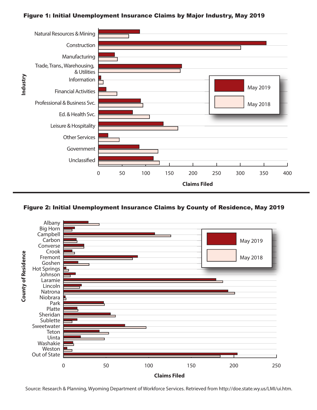#### Figure 1: Initial Unemployment Insurance Claims by Major Industry, May 2019



#### Figure 2: Initial Unemployment Insurance Claims by County of Residence, May 2019



Source: Research & Planning, Wyoming Department of Workforce Services. Retrieved from http://doe.state.wy.us/LMI/ui.htm.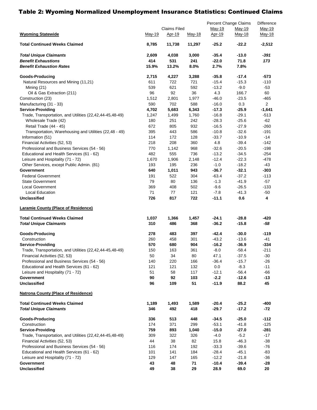#### Table 2: Wyoming Normalized Unemployment Insurance Statistics: Continued Claims

|                                                                               |            |                               |            | Percent Change Claims |                    | Difference       |
|-------------------------------------------------------------------------------|------------|-------------------------------|------------|-----------------------|--------------------|------------------|
| <b>Wyoming Statewide</b>                                                      | May-19     | <b>Claims Filed</b><br>Apr-19 | May-18     | May-19<br>Apr-19      | May-19<br>May-18   | May-19<br>May-18 |
| <b>Total Continued Weeks Claimed</b>                                          | 8,785      | 11,738                        | 11,297     | $-25.2$               | $-22.2$            | $-2,512$         |
| <b>Total Unique Claimants</b>                                                 | 2,609      | 4,038                         | 3,000      | $-35.4$               | $-13.0$            | -391             |
| <b>Benefit Exhaustions</b>                                                    | 414        | 531                           | 241        | $-22.0$               | 71.8               | 173              |
| <b>Benefit Exhaustion Rates</b>                                               | 15.9%      | 13.2%                         | 8.0%       | 2.7%                  | 7.8%               |                  |
| <b>Goods-Producing</b>                                                        | 2,715      | 4,227                         | 3,288      | $-35.8$               | $-17.4$            | $-573$           |
| Natural Resources and Mining (11,21)                                          | 611        | 722                           | 721        | $-15.4$               | $-15.3$            | $-110$           |
| Mining (21)                                                                   | 539        | 621                           | 592        | $-13.2$               | $-9.0$             | $-53$            |
| Oil & Gas Extraction (211)                                                    | 96         | 92                            | 36         | 4.3                   | 166.7              | 60               |
| Construction (23)                                                             | 1,512      | 2,801                         | 1,977      | $-46.0$               | $-23.5$            | $-465$           |
| Manufacturing (31 - 33)                                                       | 590        | 702                           | 588        | $-16.0$               | 0.3                | $\overline{2}$   |
| <b>Service-Providing</b>                                                      | 4,702      | 5,683                         | 6,343      | $-17.3$               | $-25.9$            | $-1,641$         |
| Trade, Transportation, and Utilities (22,42,44-45,48-49)                      | 1,247      | 1,499                         | 1,760      | $-16.8$               | $-29.1$            | $-513$           |
| Wholesale Trade (42)                                                          | 180        | 251                           | 242        | $-28.3$               | $-25.6$            | -62              |
| Retail Trade (44 - 45)                                                        | 672        | 805                           | 932        | $-16.5$               | $-27.9$            | $-260$           |
| Transportation, Warehousing and Utilities (22,48 - 49)                        | 395        | 443                           | 586        | $-10.8$               | $-32.6$            | $-191$           |
| Information (51)                                                              | 114        | 172<br>208                    | 128        | $-33.7$               | $-10.9$            | $-14$            |
| Financial Activities (52, 53)<br>Professional and Business Services (54 - 56) | 218<br>770 | 1,142                         | 360<br>968 | 4.8                   | $-39.4$<br>$-20.5$ | $-142$<br>$-198$ |
| Educational and Health Services (61 - 62)                                     | 482        | 555                           | 736        | $-32.6$<br>$-13.2$    | $-34.5$            | $-254$           |
| Leisure and Hospitality (71 - 72)                                             | 1,670      | 1,906                         | 2,148      | $-12.4$               | $-22.3$            | $-478$           |
| Other Services, except Public Admin. (81)                                     | 193        | 195                           | 236        | $-1.0$                | $-18.2$            | -43              |
| Government                                                                    | 640        | 1,011                         | 943        | $-36.7$               | $-32.1$            | $-303$           |
| <b>Federal Government</b>                                                     | 191        | 522                           | 304        | $-63.4$               | $-37.2$            | $-113$           |
| <b>State Government</b>                                                       | 79         | 80                            | 136        | $-1.3$                | $-41.9$            | $-57$            |
| Local Government                                                              | 369        | 408                           | 502        | $-9.6$                | $-26.5$            | $-133$           |
| Local Education                                                               | 71         | 77                            | 121        | $-7.8$                | $-41.3$            | $-50$            |
| <b>Unclassified</b>                                                           | 726        | 817                           | 722        | $-11.1$               | 0.6                | 4                |
| <b>Laramie County (Place of Residence)</b>                                    |            |                               |            |                       |                    |                  |
| <b>Total Continued Weeks Claimed</b>                                          | 1,037      | 1,366                         | 1,457      | $-24.1$               | $-28.8$            | -420             |
| <b>Total Unique Claimants</b>                                                 | 310        | 486                           | 368        | $-36.2$               | $-15.8$            | -58              |
| <b>Goods-Producing</b>                                                        | 278        | 483                           | 397        | -42.4                 | $-30.0$            | -119             |
| Construction                                                                  | 260        | 458                           | 301        | $-43.2$               | $-13.6$            | $-41$            |
| <b>Service-Providing</b>                                                      | 570        | 680                           | 904        | $-16.2$               | $-36.9$            | $-334$           |
| Trade, Transportation, and Utilities (22,42,44-45,48-49)                      | 150        | 163                           | 361        | $-8.0$                | $-58.4$            | $-211$           |
| Financial Activities (52, 53)                                                 | 50         | 34                            | 80         | 47.1                  | $-37.5$            | $-30$            |
| Professional and Business Services (54 - 56)                                  | 140        | 220                           | 166        | $-36.4$               | $-15.7$            | $-26$            |
| Educational and Health Services (61 - 62)                                     | 121        | 121                           | 132        | 0.0                   | $-8.3$             | $-11$            |
| Leisure and Hospitality (71 - 72)                                             | 51         | 58                            | 117        | $-12.1$               | $-56.4$            | $-66$            |
| Government<br>Unclassified                                                    | 90<br>96   | 92<br>109                     | 103<br>51  | $-2.2$<br>$-11.9$     | $-12.6$<br>88.2    | $-13$<br>45      |
| <b>Natrona County (Place of Residence)</b>                                    |            |                               |            |                       |                    |                  |
| <b>Total Continued Weeks Claimed</b>                                          | 1,189      | 1,493                         | 1,589      | -20.4                 | $-25.2$            | -400             |
| <b>Total Unique Claimants</b>                                                 | 346        | 492                           | 418        | $-29.7$               | $-17.2$            | $-72$            |
| <b>Goods-Producing</b>                                                        | 336        | 513                           | 448        | -34.5                 | $-25.0$            | $-112$           |
| Construction                                                                  | 174        | 371                           | 299        | $-53.1$               | $-41.8$            | $-125$           |
| <b>Service-Providing</b>                                                      | 759        | 893                           | 1,040      | $-15.0$               | $-27.0$            | $-281$           |
| Trade, Transportation, and Utilities (22,42,44-45,48-49)                      | 309        | 322                           | 326        | $-4.0$                | $-5.2$             | $-17$            |
| Financial Activities (52, 53)                                                 | 44         | 38                            | 82         | 15.8                  | $-46.3$            | -38              |
| Professional and Business Services (54 - 56)                                  | 116        | 174                           | 192        | $-33.3$               | $-39.6$            | $-76$            |
| Educational and Health Services (61 - 62)                                     | 101        | 141                           | 184        | $-28.4$               | $-45.1$            | -83              |
| Leisure and Hospitality (71 - 72)                                             | 129<br>43  | 147                           | 165<br>71  | $-12.2$<br>$-10.4$    | $-21.8$<br>$-39.4$ | $-36$            |
| Government<br><b>Unclassified</b>                                             | 49         | 48<br>38                      | 29         | 28.9                  | 69.0               | $-28$<br>20      |
|                                                                               |            |                               |            |                       |                    |                  |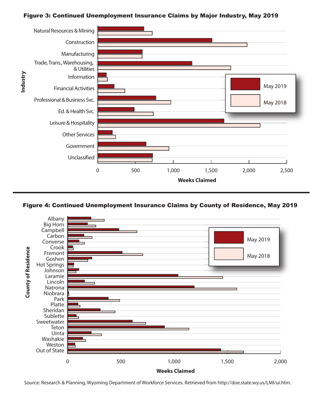#### Figure 3: Continued Unemployment Insurance Claims by Major Industry, May 2019





Source: Research & Planning, Wyoming Department of Workforce Services. Retrieved from http://doe.state.wy.us/LMI/ui.htm.